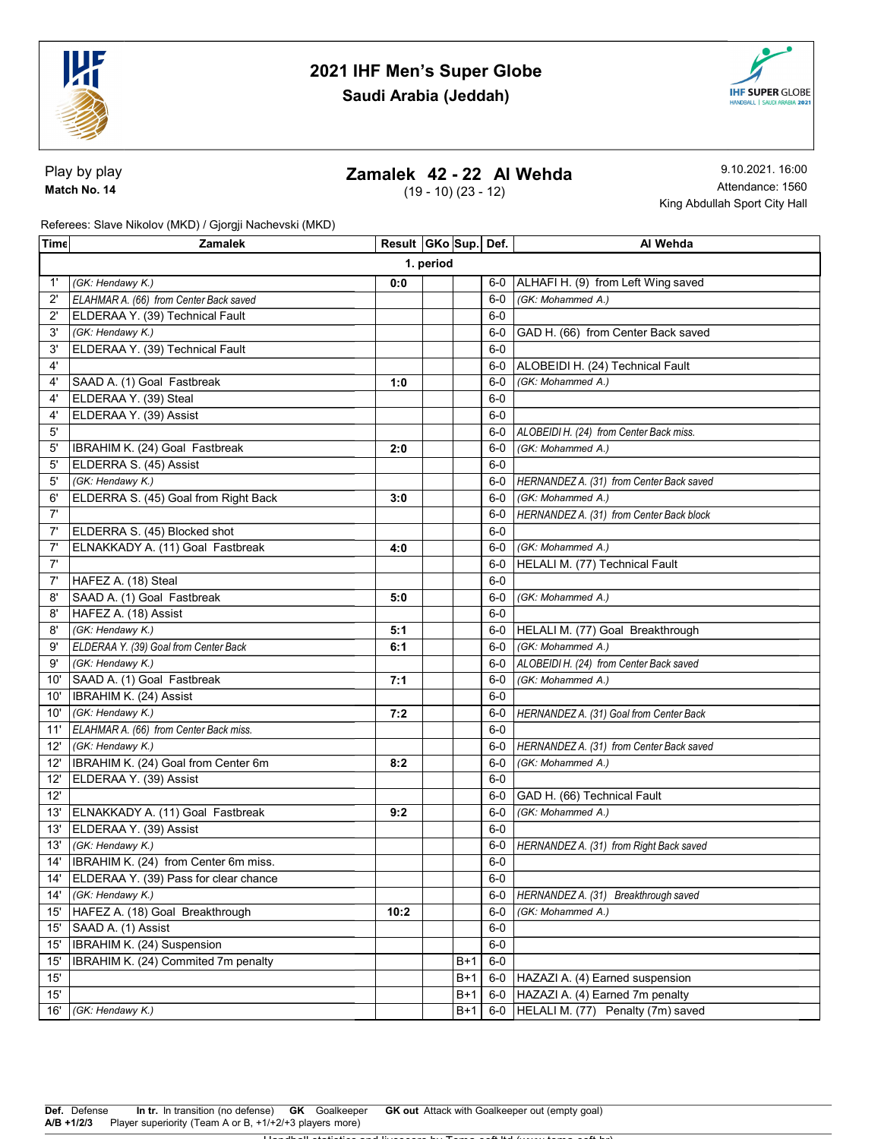



Play by play Match No. 14

## Zamalek 42 - 22 Al Wehda

(19 - 10) (23 - 12)

9.10.2021. 16:00 Attendance: 1560 King Abdullah Sport City Hall

Referees: Slave Nikolov (MKD) / Gjorgji Nachevski (MKD)

| Time         | <b>Zamalek</b>                              | Result   GKo Sup   Def. |  |       |       | Al Wehda                                 |  |  |  |
|--------------|---------------------------------------------|-------------------------|--|-------|-------|------------------------------------------|--|--|--|
|              | 1. period                                   |                         |  |       |       |                                          |  |  |  |
| $1^{\prime}$ | (GK: Hendawy K.)                            | 0:0                     |  |       | 6-0   | ALHAFI H. (9) from Left Wing saved       |  |  |  |
| $2^{\prime}$ | ELAHMAR A. (66) from Center Back saved      |                         |  |       | 6-0   | (GK: Mohammed A.)                        |  |  |  |
| $2^{\prime}$ | ELDERAA Y. (39) Technical Fault             |                         |  |       | $6-0$ |                                          |  |  |  |
| 3'           | (GK: Hendawy K.)                            |                         |  |       | 6-0   | GAD H. (66) from Center Back saved       |  |  |  |
| 3'           | ELDERAA Y. (39) Technical Fault             |                         |  |       | $6-0$ |                                          |  |  |  |
| $4^{\circ}$  |                                             |                         |  |       | $6-0$ | ALOBEIDI H. (24) Technical Fault         |  |  |  |
| 4'           | SAAD A. (1) Goal Fastbreak                  | 1:0                     |  |       | $6-0$ | (GK: Mohammed A.)                        |  |  |  |
| 4'           | ELDERAA Y. (39) Steal                       |                         |  |       | $6-0$ |                                          |  |  |  |
| 4'           | ELDERAA Y. (39) Assist                      |                         |  |       | $6-0$ |                                          |  |  |  |
| 5'           |                                             |                         |  |       | $6-0$ | ALOBEIDI H. (24) from Center Back miss.  |  |  |  |
| 5'           | IBRAHIM K. (24) Goal Fastbreak              | 2:0                     |  |       | 6-0   | (GK: Mohammed A.)                        |  |  |  |
| 5'           | ELDERRA S. (45) Assist                      |                         |  |       | $6-0$ |                                          |  |  |  |
| 5'           | (GK: Hendawy K.)                            |                         |  |       | 6-0   | HERNANDEZ A. (31) from Center Back saved |  |  |  |
| 6'           | ELDERRA S. (45) Goal from Right Back        | 3:0                     |  |       | 6-0   | (GK: Mohammed A.)                        |  |  |  |
| 7'           |                                             |                         |  |       | 6-0   | HERNANDEZ A. (31) from Center Back block |  |  |  |
| 7'           | ELDERRA S. (45) Blocked shot                |                         |  |       | 6-0   |                                          |  |  |  |
| 7'           | ELNAKKADY A. (11) Goal Fastbreak            | 4:0                     |  |       | $6-0$ | (GK: Mohammed A.)                        |  |  |  |
| 7'           |                                             |                         |  |       | 6-0   | HELALI M. (77) Technical Fault           |  |  |  |
| 7'           | HAFEZ A. (18) Steal                         |                         |  |       | $6-0$ |                                          |  |  |  |
| 8'           | SAAD A. (1) Goal Fastbreak                  | 5:0                     |  |       | $6-0$ | (GK: Mohammed A.)                        |  |  |  |
| 8'           | HAFEZ A. (18) Assist                        |                         |  |       | $6-0$ |                                          |  |  |  |
| 8'           | (GK: Hendawy K.)                            | 5:1                     |  |       | 6-0   | HELALI M. (77) Goal Breakthrough         |  |  |  |
| 9'           | ELDERAA Y. (39) Goal from Center Back       | 6:1                     |  |       | $6-0$ | (GK: Mohammed A.)                        |  |  |  |
| 9'           | (GK: Hendawy K.)                            |                         |  |       | $6-0$ | ALOBEIDI H. (24) from Center Back saved  |  |  |  |
| 10'          | SAAD A. (1) Goal Fastbreak                  | 7:1                     |  |       | 6-0   | (GK: Mohammed A.)                        |  |  |  |
| 10'          | <b>IBRAHIM K. (24) Assist</b>               |                         |  |       | 6-0   |                                          |  |  |  |
| 10'          | (GK: Hendawy K.)                            | 7:2                     |  |       | 6-0   | HERNANDEZ A. (31) Goal from Center Back  |  |  |  |
| 11'          | ELAHMAR A. (66) from Center Back miss.      |                         |  |       | 6-0   |                                          |  |  |  |
| 12'          | (GK: Hendawy K.)                            |                         |  |       | 6-0   | HERNANDEZ A. (31) from Center Back saved |  |  |  |
| 12'          | IBRAHIM K. (24) Goal from Center 6m         | 8:2                     |  |       | $6-0$ | (GK: Mohammed A.)                        |  |  |  |
| 12'          | ELDERAA Y. (39) Assist                      |                         |  |       | $6-0$ |                                          |  |  |  |
| 12'          |                                             |                         |  |       | 6-0   | GAD H. (66) Technical Fault              |  |  |  |
| 13'          | ELNAKKADY A. (11) Goal Fastbreak            | 9:2                     |  |       | 6-0   | (GK: Mohammed A.)                        |  |  |  |
| 13'          | ELDERAA Y. (39) Assist                      |                         |  |       | $6-0$ |                                          |  |  |  |
| 13'          | (GK: Hendawy K.)                            |                         |  |       | 6-0   | HERNANDEZ A. (31) from Right Back saved  |  |  |  |
| 14'          | <b>IBRAHIM K.</b> (24) from Center 6m miss. |                         |  |       | $6-0$ |                                          |  |  |  |
|              | 14' ELDERAA Y. (39) Pass for clear chance   |                         |  |       | $6-0$ |                                          |  |  |  |
| 14'          | (GK: Hendawy K.)                            |                         |  |       | $6-0$ | HERNANDEZ A. (31) Breakthrough saved     |  |  |  |
| 15'          | HAFEZ A. (18) Goal Breakthrough             | 10:2                    |  |       | $6-0$ | (GK: Mohammed A.)                        |  |  |  |
| 15'          | SAAD A. (1) Assist                          |                         |  |       | $6-0$ |                                          |  |  |  |
| 15'          | <b>IBRAHIM K.</b> (24) Suspension           |                         |  |       | $6-0$ |                                          |  |  |  |
| 15'          | IBRAHIM K. (24) Commited 7m penalty         |                         |  | B+1   | $6-0$ |                                          |  |  |  |
| 15'          |                                             |                         |  | B+1   | $6-0$ | HAZAZI A. (4) Earned suspension          |  |  |  |
| $15'$        |                                             |                         |  | B+1   | $6-0$ | HAZAZI A. (4) Earned 7m penalty          |  |  |  |
| 16'          | (GK: Hendawy K.)                            |                         |  | $B+1$ | $6-0$ | HELALI M. (77) Penalty (7m) saved        |  |  |  |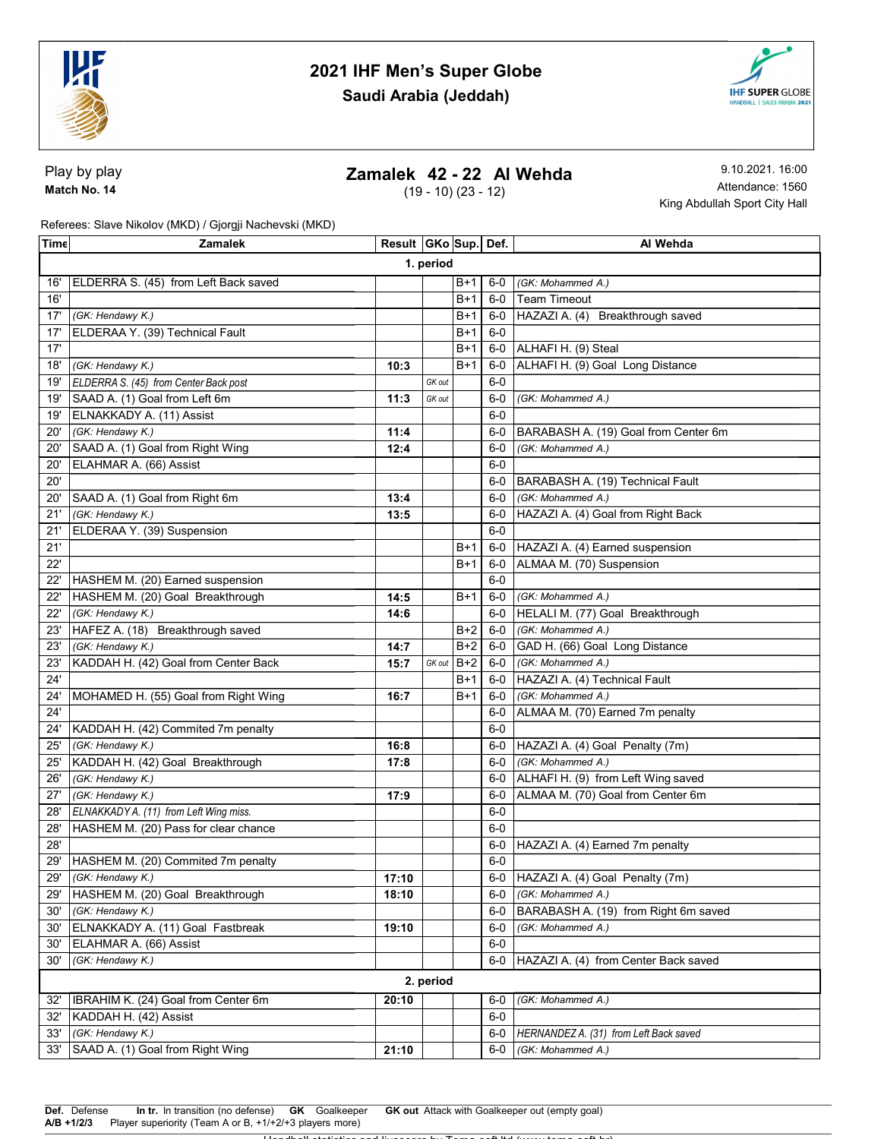



Play by play Match No. 14

## Zamalek 42 - 22 Al Wehda

(19 - 10) (23 - 12)

9.10.2021. 16:00 Attendance: 1560 King Abdullah Sport City Hall

Referees: Slave Nikolov (MKD) / Gjorgji Nachevski (MKD)

| Time | <b>Zamalek</b>                         | Result GKo Sup. Def. |        |       |       | Al Wehda                               |  |  |  |
|------|----------------------------------------|----------------------|--------|-------|-------|----------------------------------------|--|--|--|
|      | 1. period                              |                      |        |       |       |                                        |  |  |  |
| 16'  | ELDERRA S. (45) from Left Back saved   |                      |        | B+1   | $6-0$ | (GK: Mohammed A.)                      |  |  |  |
| 16'  |                                        |                      |        | B+1   | $6-0$ | <b>Team Timeout</b>                    |  |  |  |
|      | 17' (GK: Hendawy K.)                   |                      |        | B+1   | 6-0   | HAZAZI A. (4) Breakthrough saved       |  |  |  |
| 17'  | ELDERAA Y. (39) Technical Fault        |                      |        | B+1   | $6-0$ |                                        |  |  |  |
| 17'  |                                        |                      |        | B+1   | 6-0   | ALHAFI H. (9) Steal                    |  |  |  |
| 18'  | (GK: Hendawy K.)                       | 10:3                 |        | $B+1$ | $6-0$ | ALHAFI H. (9) Goal Long Distance       |  |  |  |
| 19'  | ELDERRA S. (45) from Center Back post  |                      | GK out |       | $6-0$ |                                        |  |  |  |
| 19'  | SAAD A. (1) Goal from Left 6m          | 11:3                 | GK out |       | 6-0   | (GK: Mohammed A.)                      |  |  |  |
| 19'  | ELNAKKADY A. (11) Assist               |                      |        |       | $6-0$ |                                        |  |  |  |
| 20'  | (GK: Hendawy K.)                       | 11:4                 |        |       | $6-0$ | BARABASH A. (19) Goal from Center 6m   |  |  |  |
| 20'  | SAAD A. (1) Goal from Right Wing       | 12:4                 |        |       | $6-0$ | (GK: Mohammed A.)                      |  |  |  |
| 20'  | ELAHMAR A. (66) Assist                 |                      |        |       | $6-0$ |                                        |  |  |  |
| 20'  |                                        |                      |        |       | 6-0   | BARABASH A. (19) Technical Fault       |  |  |  |
| 20'  | SAAD A. (1) Goal from Right 6m         | 13:4                 |        |       | 6-0   | (GK: Mohammed A.)                      |  |  |  |
| 21'  | (GK: Hendawy K.)                       | 13:5                 |        |       | 6-0   | HAZAZI A. (4) Goal from Right Back     |  |  |  |
| 21'  | ELDERAA Y. (39) Suspension             |                      |        |       | $6-0$ |                                        |  |  |  |
| 21'  |                                        |                      |        | B+1   | $6-0$ | HAZAZI A. (4) Earned suspension        |  |  |  |
| 22'  |                                        |                      |        | B+1   | $6-0$ | ALMAA M. (70) Suspension               |  |  |  |
| 22'  | HASHEM M. (20) Earned suspension       |                      |        |       | $6-0$ |                                        |  |  |  |
| 22'  | HASHEM M. (20) Goal Breakthrough       | 14:5                 |        | B+1   | $6-0$ | (GK: Mohammed A.)                      |  |  |  |
| 22'  | (GK: Hendawy K.)                       | 14:6                 |        |       | $6-0$ | HELALI M. (77) Goal Breakthrough       |  |  |  |
| 23'  | HAFEZ A. (18) Breakthrough saved       |                      |        | B+2   | $6-0$ | (GK: Mohammed A.)                      |  |  |  |
| 23'  | (GK: Hendawy K.)                       | 14:7                 |        | $B+2$ | $6-0$ | GAD H. (66) Goal Long Distance         |  |  |  |
| 23'  | KADDAH H. (42) Goal from Center Back   | 15:7                 | GK out | $B+2$ | $6-0$ | (GK: Mohammed A.)                      |  |  |  |
| 24'  |                                        |                      |        | B+1   | $6-0$ | HAZAZI A. (4) Technical Fault          |  |  |  |
| 24'  | MOHAMED H. (55) Goal from Right Wing   | 16:7                 |        | $B+1$ | $6-0$ | (GK: Mohammed A.)                      |  |  |  |
| 24'  |                                        |                      |        |       | 6-0   | ALMAA M. (70) Earned 7m penalty        |  |  |  |
| 24'  | KADDAH H. (42) Commited 7m penalty     |                      |        |       | 6-0   |                                        |  |  |  |
| 25'  | (GK: Hendawy K.)                       | 16:8                 |        |       |       | 6-0 HAZAZI A. (4) Goal Penalty (7m)    |  |  |  |
| 25'  | KADDAH H. (42) Goal Breakthrough       | 17:8                 |        |       | $6-0$ | (GK: Mohammed A.)                      |  |  |  |
| 26'  | (GK: Hendawy K.)                       |                      |        |       | $6-0$ | ALHAFI H. (9) from Left Wing saved     |  |  |  |
| 27'  | (GK: Hendawy K.)                       | 17:9                 |        |       | 6-0   | ALMAA M. (70) Goal from Center 6m      |  |  |  |
| 28'  | ELNAKKADY A. (11) from Left Wing miss. |                      |        |       | $6-0$ |                                        |  |  |  |
| 28'  | HASHEM M. (20) Pass for clear chance   |                      |        |       | $6-0$ |                                        |  |  |  |
| 28'  |                                        |                      |        |       | 6-0   | HAZAZI A. (4) Earned 7m penalty        |  |  |  |
| 29'  | HASHEM M. (20) Commited 7m penalty     |                      |        |       | $6-0$ |                                        |  |  |  |
| 29'  | (GK: Hendawy K.)                       | 17:10                |        |       |       | 6-0 HAZAZI A. (4) Goal Penalty (7m)    |  |  |  |
| 29'  | HASHEM M. (20) Goal Breakthrough       | 18:10                |        |       | 6-0   | (GK: Mohammed A.)                      |  |  |  |
| 30'  | (GK: Hendawy K.)                       |                      |        |       | $6-0$ | BARABASH A. (19) from Right 6m saved   |  |  |  |
| 30'  | ELNAKKADY A. (11) Goal Fastbreak       | 19:10                |        |       | 6-0   | (GK: Mohammed A.)                      |  |  |  |
| 30'  | ELAHMAR A. (66) Assist                 |                      |        |       | $6-0$ |                                        |  |  |  |
| 30'  | (GK: Hendawy K.)                       |                      |        |       | $6-0$ | HAZAZI A. (4) from Center Back saved   |  |  |  |
|      | 2. period                              |                      |        |       |       |                                        |  |  |  |
| 32'  | IBRAHIM K. (24) Goal from Center 6m    | 20:10                |        |       | $6-0$ | (GK: Mohammed A.)                      |  |  |  |
| 32'  | KADDAH H. (42) Assist                  |                      |        |       | $6-0$ |                                        |  |  |  |
| 33'  | (GK: Hendawy K.)                       |                      |        |       | 6-0   | HERNANDEZ A. (31) from Left Back saved |  |  |  |
| 33'  | SAAD A. (1) Goal from Right Wing       | 21:10                |        |       | 6-0   | (GK: Mohammed A.)                      |  |  |  |
|      |                                        |                      |        |       |       |                                        |  |  |  |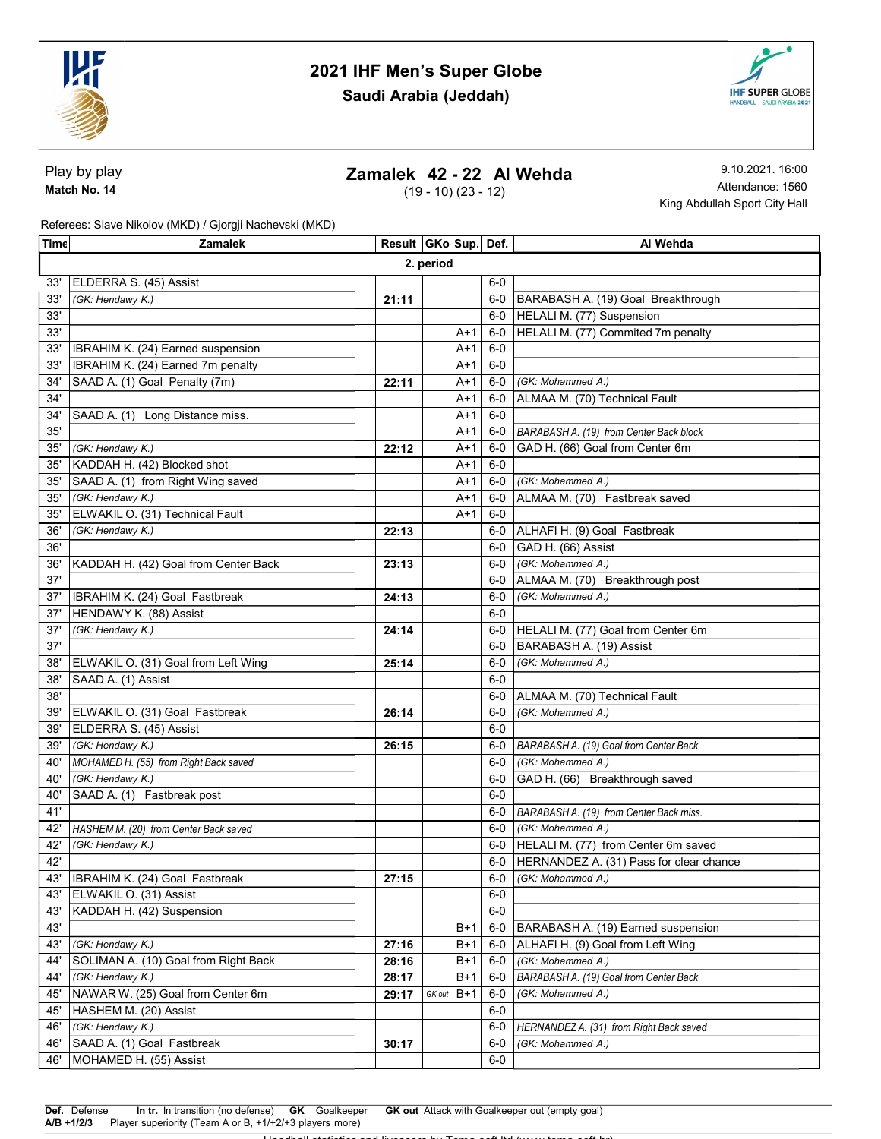



Play by play Match No. 14

## Zamalek 42 - 22 Al Wehda

(19 - 10) (23 - 12)

9.10.2021. 16:00 Attendance: 1560 King Abdullah Sport City Hall

Referees: Slave Nikolov (MKD) / Gjorgji Nachevski (MKD)

| ∣Tim∈     | <b>Zamalek</b>                        | Result   GKo Sup   Def. |        |       |       | Al Wehda                                  |  |  |
|-----------|---------------------------------------|-------------------------|--------|-------|-------|-------------------------------------------|--|--|
| 2. period |                                       |                         |        |       |       |                                           |  |  |
| 33'       | ELDERRA S. (45) Assist                |                         |        |       | 6-0   |                                           |  |  |
| 33'       | (GK: Hendawy K.)                      | 21:11                   |        |       |       | 6-0   BARABASH A. (19) Goal Breakthrough  |  |  |
| 33'       |                                       |                         |        |       | $6-0$ | HELALI M. (77) Suspension                 |  |  |
| 33'       |                                       |                         |        | $A+1$ | 6-0   | HELALI M. (77) Commited 7m penalty        |  |  |
| 33'       | IBRAHIM K. (24) Earned suspension     |                         |        | A+1   | $6-0$ |                                           |  |  |
| 33'       | IBRAHIM K. (24) Earned 7m penalty     |                         |        | A+1   | $6-0$ |                                           |  |  |
| 34'       | SAAD A. (1) Goal Penalty (7m)         | 22:11                   |        | $A+1$ | 6-0   | (GK: Mohammed A.)                         |  |  |
| 34'       |                                       |                         |        | $A+1$ | $6-0$ | ALMAA M. (70) Technical Fault             |  |  |
| 34'       | SAAD A. (1) Long Distance miss.       |                         |        | $A+1$ | $6-0$ |                                           |  |  |
| 35'       |                                       |                         |        | A+1   | $6-0$ | BARABASH A. (19) from Center Back block   |  |  |
| 35'       | (GK: Hendawy K.)                      | 22:12                   |        | A+1   | $6-0$ | GAD H. (66) Goal from Center 6m           |  |  |
| 35'       | KADDAH H. (42) Blocked shot           |                         |        | A+1   | $6-0$ |                                           |  |  |
| 35'       | SAAD A. (1) from Right Wing saved     |                         |        | A+1   | 6-0   | (GK: Mohammed A.)                         |  |  |
| 35'       | (GK: Hendawy K.)                      |                         |        | A+1   | $6-0$ | ALMAA M. (70) Fastbreak saved             |  |  |
| 35'       | ELWAKIL O. (31) Technical Fault       |                         |        | $A+1$ | $6-0$ |                                           |  |  |
| 36'       | (GK: Hendawy K.)                      | 22:13                   |        |       | 6-0   | ALHAFI H. (9) Goal Fastbreak              |  |  |
| 36'       |                                       |                         |        |       | $6-0$ | GAD H. (66) Assist                        |  |  |
| 36'       | KADDAH H. (42) Goal from Center Back  | 23:13                   |        |       | $6-0$ | (GK: Mohammed A.)                         |  |  |
| 37'       |                                       |                         |        |       | $6-0$ | ALMAA M. (70) Breakthrough post           |  |  |
| 37'       | <b>IBRAHIM K.</b> (24) Goal Fastbreak | 24:13                   |        |       | 6-0   | (GK: Mohammed A.)                         |  |  |
| 37'       | HENDAWY K. (88) Assist                |                         |        |       | $6-0$ |                                           |  |  |
| 37'       | (GK: Hendawy K.)                      | 24:14                   |        |       | 6-0   | HELALI M. (77) Goal from Center 6m        |  |  |
| 37'       |                                       |                         |        |       | $6-0$ | BARABASH A. (19) Assist                   |  |  |
| 38'       | ELWAKIL O. (31) Goal from Left Wing   | 25:14                   |        |       | 6-0   | (GK: Mohammed A.)                         |  |  |
| 38'       | SAAD A. (1) Assist                    |                         |        |       | $6-0$ |                                           |  |  |
| 38'       |                                       |                         |        |       | 6-0   | ALMAA M. (70) Technical Fault             |  |  |
| 39'       | ELWAKIL O. (31) Goal Fastbreak        | 26:14                   |        |       | 6-0   | (GK: Mohammed A.)                         |  |  |
| 39'       | ELDERRA S. (45) Assist                |                         |        |       | $6-0$ |                                           |  |  |
| 39'       | (GK: Hendawy K.)                      | 26:15                   |        |       | $6-0$ | BARABASH A. (19) Goal from Center Back    |  |  |
| 40'       | MOHAMED H. (55) from Right Back saved |                         |        |       | $6-0$ | (GK: Mohammed A.)                         |  |  |
| 40'       | (GK: Hendawy K.)                      |                         |        |       | 6-0   | GAD H. (66) Breakthrough saved            |  |  |
| 40'       | SAAD A. (1) Fastbreak post            |                         |        |       | $6-0$ |                                           |  |  |
| 41'       |                                       |                         |        |       | $6-0$ | BARABASH A. (19) from Center Back miss.   |  |  |
| 42'       | HASHEM M. (20) from Center Back saved |                         |        |       | $6-0$ | (GK: Mohammed A.)                         |  |  |
| 42'       | (GK: Hendawy K.)                      |                         |        |       | $6-0$ | HELALI M. (77) from Center 6m saved       |  |  |
| 42'       |                                       |                         |        |       | 6-0   | HERNANDEZ A. (31) Pass for clear chance   |  |  |
|           | 43'   IBRAHIM K. (24) Goal Fastbreak  | 27:15                   |        |       |       | 6-0 (GK: Mohammed A.)                     |  |  |
| 43'       | ELWAKIL O. (31) Assist                |                         |        |       | $6-0$ |                                           |  |  |
| 43'       | KADDAH H. (42) Suspension             |                         |        |       | $6-0$ |                                           |  |  |
| 43'       |                                       |                         |        | $B+1$ | $6-0$ | <b>BARABASH A. (19) Earned suspension</b> |  |  |
| 43'       | (GK: Hendawy K.)                      | 27:16                   |        | $B+1$ | $6-0$ | ALHAFI H. (9) Goal from Left Wing         |  |  |
| 44'       | SOLIMAN A. (10) Goal from Right Back  | 28:16                   |        | $B+1$ | $6-0$ | (GK: Mohammed A.)                         |  |  |
| 44'       | (GK: Hendawy K.)                      | 28:17                   |        | $B+1$ | $6-0$ | BARABASH A. (19) Goal from Center Back    |  |  |
| 45'       | NAWAR W. (25) Goal from Center 6m     | 29:17                   | GK out | $B+1$ | $6-0$ | (GK: Mohammed A.)                         |  |  |
| 45'       | HASHEM M. (20) Assist                 |                         |        |       | $6-0$ |                                           |  |  |
| 46'       | (GK: Hendawy K.)                      |                         |        |       | $6-0$ | HERNANDEZ A. (31) from Right Back saved   |  |  |
| 46'       | SAAD A. (1) Goal Fastbreak            | 30:17                   |        |       | $6-0$ | (GK: Mohammed A.)                         |  |  |
| 46'       | MOHAMED H. (55) Assist                |                         |        |       | $6-0$ |                                           |  |  |